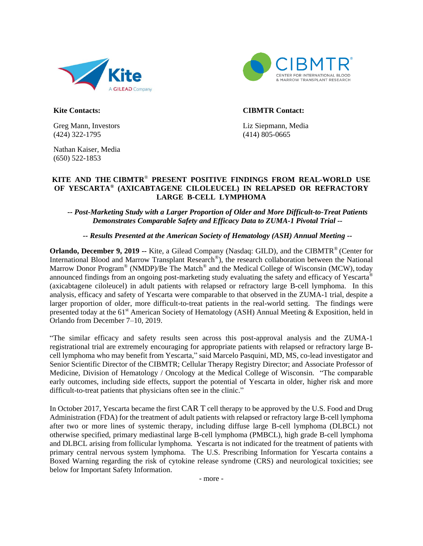



**Kite Contacts:**

Greg Mann, Investors (424) 322-1795

Nathan Kaiser, Media (650) 522-1853

#### **CIBMTR Contact:**

Liz Siepmann, Media (414) 805-0665

### **KITE AND THE CIBMTR**® **PRESENT POSITIVE FINDINGS FROM REAL-WORLD USE OF YESCARTA® (AXICABTAGENE CILOLEUCEL) IN RELAPSED OR REFRACTORY LARGE B-CELL LYMPHOMA**

#### *-- Post-Marketing Study with a Larger Proportion of Older and More Difficult-to-Treat Patients Demonstrates Comparable Safety and Efficacy Data to ZUMA-1 Pivotal Trial --*

#### *-- Results Presented at the American Society of Hematology (ASH) Annual Meeting --*

**Orlando, December 9, 2019 --** Kite, a Gilead Company (Nasdaq: GILD), and the CIBMTR® (Center for International Blood and Marrow Transplant Research<sup>®</sup>), the research collaboration between the National Marrow Donor Program® (NMDP)/Be The Match® and the Medical College of Wisconsin (MCW), today announced findings from an ongoing post-marketing study evaluating the safety and efficacy of Yescarta® (axicabtagene ciloleucel) in adult patients with relapsed or refractory large B-cell lymphoma. In this analysis, efficacy and safety of Yescarta were comparable to that observed in the ZUMA-1 trial, despite a larger proportion of older, more difficult-to-treat patients in the real-world setting. The findings were presented today at the  $61<sup>st</sup>$  American Society of Hematology (ASH) Annual Meeting & Exposition, held in Orlando from December 7–10, 2019.

"The similar efficacy and safety results seen across this post-approval analysis and the ZUMA-1 registrational trial are extremely encouraging for appropriate patients with relapsed or refractory large Bcell lymphoma who may benefit from Yescarta," said Marcelo Pasquini, MD, MS, co-lead investigator and Senior Scientific Director of the CIBMTR; Cellular Therapy Registry Director; and Associate Professor of Medicine, Division of Hematology / Oncology at the Medical College of Wisconsin. "The comparable early outcomes, including side effects, support the potential of Yescarta in older, higher risk and more difficult-to-treat patients that physicians often see in the clinic."

In October 2017, Yescarta became the first CAR T cell therapy to be approved by the U.S. Food and Drug Administration (FDA) for the treatment of adult patients with relapsed or refractory large B-cell lymphoma after two or more lines of systemic therapy, including diffuse large B-cell lymphoma (DLBCL) not otherwise specified, primary mediastinal large B-cell lymphoma (PMBCL), high grade B-cell lymphoma and DLBCL arising from follicular lymphoma. Yescarta is not indicated for the treatment of patients with primary central nervous system lymphoma. The U.S. Prescribing Information for Yescarta contains a Boxed Warning regarding the risk of cytokine release syndrome (CRS) and neurological toxicities; see below for Important Safety Information.

- more -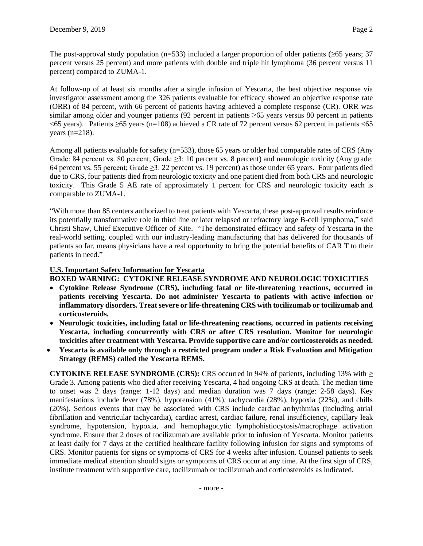The post-approval study population (n=533) included a larger proportion of older patients ( $\geq 65$  years; 37 percent versus 25 percent) and more patients with double and triple hit lymphoma (36 percent versus 11 percent) compared to ZUMA-1.

At follow-up of at least six months after a single infusion of Yescarta, the best objective response via investigator assessment among the 326 patients evaluable for efficacy showed an objective response rate (ORR) of 84 percent, with 66 percent of patients having achieved a complete response (CR). ORR was similar among older and younger patients (92 percent in patients ≥65 years versus 80 percent in patients  $<$  65 years). Patients  $\geq$  65 years (n=108) achieved a CR rate of 72 percent versus 62 percent in patients  $<$  65 years (n=218).

Among all patients evaluable for safety (n=533), those 65 years or older had comparable rates of CRS (Any Grade: 84 percent vs. 80 percent; Grade ≥3: 10 percent vs. 8 percent) and neurologic toxicity (Any grade: 64 percent vs. 55 percent; Grade ≥3: 22 percent vs. 19 percent) as those under 65 years. Four patients died due to CRS, four patients died from neurologic toxicity and one patient died from both CRS and neurologic toxicity. This Grade 5 AE rate of approximately 1 percent for CRS and neurologic toxicity each is comparable to ZUMA-1.

"With more than 85 centers authorized to treat patients with Yescarta, these post-approval results reinforce its potentially transformative role in third line or later relapsed or refractory large B-cell lymphoma," said Christi Shaw, Chief Executive Officer of Kite. "The demonstrated efficacy and safety of Yescarta in the real-world setting, coupled with our industry-leading manufacturing that has delivered for thousands of patients so far, means physicians have a real opportunity to bring the potential benefits of CAR T to their patients in need."

## **U.S. Important Safety Information for Yescarta**

**BOXED WARNING: CYTOKINE RELEASE SYNDROME AND NEUROLOGIC TOXICITIES**

- **Cytokine Release Syndrome (CRS), including fatal or life-threatening reactions, occurred in patients receiving Yescarta. Do not administer Yescarta to patients with active infection or inflammatory disorders. Treat severe or life-threatening CRS with tocilizumab or tocilizumab and corticosteroids.**
- **Neurologic toxicities, including fatal or life-threatening reactions, occurred in patients receiving Yescarta, including concurrently with CRS or after CRS resolution. Monitor for neurologic toxicities after treatment with Yescarta. Provide supportive care and/or corticosteroids as needed.**
- **Yescarta is available only through a restricted program under a Risk Evaluation and Mitigation Strategy (REMS) called the Yescarta REMS.**

**CYTOKINE RELEASE SYNDROME (CRS):** CRS occurred in 94% of patients, including 13% with  $\ge$ Grade 3. Among patients who died after receiving Yescarta, 4 had ongoing CRS at death. The median time to onset was 2 days (range: 1-12 days) and median duration was 7 days (range: 2-58 days). Key manifestations include fever (78%), hypotension (41%), tachycardia (28%), hypoxia (22%), and chills (20%). Serious events that may be associated with CRS include cardiac arrhythmias (including atrial fibrillation and ventricular tachycardia), cardiac arrest, cardiac failure, renal insufficiency, capillary leak syndrome, hypotension, hypoxia, and hemophagocytic lymphohistiocytosis/macrophage activation syndrome*.* Ensure that 2 doses of tocilizumab are available prior to infusion of Yescarta. Monitor patients at least daily for 7 days at the certified healthcare facility following infusion for signs and symptoms of CRS. Monitor patients for signs or symptoms of CRS for 4 weeks after infusion. Counsel patients to seek immediate medical attention should signs or symptoms of CRS occur at any time. At the first sign of CRS, institute treatment with supportive care, tocilizumab or tocilizumab and corticosteroids as indicated.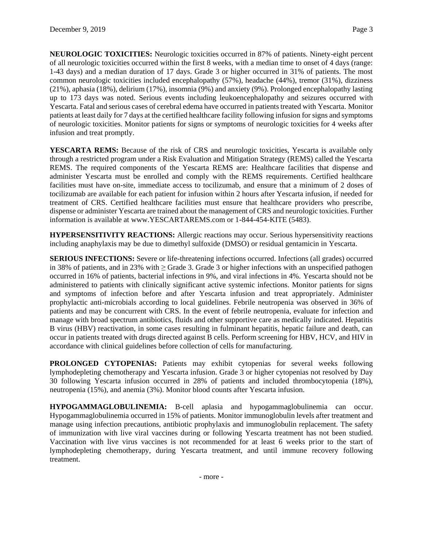**NEUROLOGIC TOXICITIES:** Neurologic toxicities occurred in 87% of patients. Ninety-eight percent of all neurologic toxicities occurred within the first 8 weeks, with a median time to onset of 4 days (range: 1-43 days) and a median duration of 17 days. Grade 3 or higher occurred in 31% of patients. The most common neurologic toxicities included encephalopathy (57%), headache (44%), tremor (31%), dizziness (21%), aphasia (18%), delirium (17%), insomnia (9%) and anxiety (9%). Prolonged encephalopathy lasting up to 173 days was noted. Serious events including leukoencephalopathy and seizures occurred with Yescarta. Fatal and serious cases of cerebral edema have occurred in patients treated with Yescarta. Monitor patients at least daily for 7 days at the certified healthcare facility following infusion for signs and symptoms of neurologic toxicities. Monitor patients for signs or symptoms of neurologic toxicities for 4 weeks after infusion and treat promptly.

**YESCARTA REMS:** Because of the risk of CRS and neurologic toxicities, Yescarta is available only through a restricted program under a Risk Evaluation and Mitigation Strategy (REMS) called the Yescarta REMS. The required components of the Yescarta REMS are: Healthcare facilities that dispense and administer Yescarta must be enrolled and comply with the REMS requirements. Certified healthcare facilities must have on-site, immediate access to tocilizumab, and ensure that a minimum of 2 doses of tocilizumab are available for each patient for infusion within 2 hours after Yescarta infusion, if needed for treatment of CRS. Certified healthcare facilities must ensure that healthcare providers who prescribe, dispense or administer Yescarta are trained about the management of CRS and neurologic toxicities. Further information is available at www.YESCARTAREMS.com or 1-844-454-KITE (5483).

**HYPERSENSITIVITY REACTIONS:** Allergic reactions may occur. Serious hypersensitivity reactions including anaphylaxis may be due to dimethyl sulfoxide (DMSO) or residual gentamicin in Yescarta.

**SERIOUS INFECTIONS:** Severe or life-threatening infections occurred. Infections (all grades) occurred in 38% of patients, and in 23% with ≥ Grade 3. Grade 3 or higher infections with an unspecified pathogen occurred in 16% of patients, bacterial infections in 9%, and viral infections in 4%. Yescarta should not be administered to patients with clinically significant active systemic infections. Monitor patients for signs and symptoms of infection before and after Yescarta infusion and treat appropriately. Administer prophylactic anti-microbials according to local guidelines. Febrile neutropenia was observed in 36% of patients and may be concurrent with CRS. In the event of febrile neutropenia, evaluate for infection and manage with broad spectrum antibiotics, fluids and other supportive care as medically indicated. Hepatitis B virus (HBV) reactivation, in some cases resulting in fulminant hepatitis, hepatic failure and death, can occur in patients treated with drugs directed against B cells. Perform screening for HBV, HCV, and HIV in accordance with clinical guidelines before collection of cells for manufacturing.

**PROLONGED CYTOPENIAS:** Patients may exhibit cytopenias for several weeks following lymphodepleting chemotherapy and Yescarta infusion. Grade 3 or higher cytopenias not resolved by Day 30 following Yescarta infusion occurred in 28% of patients and included thrombocytopenia (18%), neutropenia (15%), and anemia (3%). Monitor blood counts after Yescarta infusion.

**HYPOGAMMAGLOBULINEMIA:** B-cell aplasia and hypogammaglobulinemia can occur. Hypogammaglobulinemia occurred in 15% of patients. Monitor immunoglobulin levels after treatment and manage using infection precautions, antibiotic prophylaxis and immunoglobulin replacement. The safety of immunization with live viral vaccines during or following Yescarta treatment has not been studied. Vaccination with live virus vaccines is not recommended for at least 6 weeks prior to the start of lymphodepleting chemotherapy, during Yescarta treatment, and until immune recovery following treatment.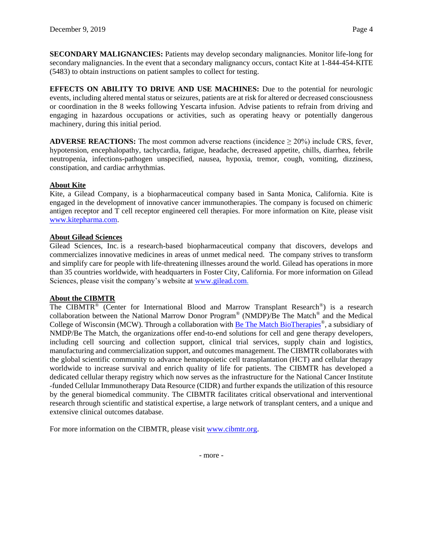**SECONDARY MALIGNANCIES:** Patients may develop secondary malignancies. Monitor life-long for secondary malignancies. In the event that a secondary malignancy occurs, contact Kite at 1-844-454-KITE (5483) to obtain instructions on patient samples to collect for testing.

**EFFECTS ON ABILITY TO DRIVE AND USE MACHINES:** Due to the potential for neurologic events, including altered mental status or seizures, patients are at risk for altered or decreased consciousness or coordination in the 8 weeks following Yescarta infusion. Advise patients to refrain from driving and engaging in hazardous occupations or activities, such as operating heavy or potentially dangerous machinery, during this initial period.

**ADVERSE REACTIONS:** The most common adverse reactions (incidence ≥ 20%) include CRS, fever, hypotension, encephalopathy, tachycardia, fatigue, headache, decreased appetite, chills, diarrhea, febrile neutropenia, infections-pathogen unspecified, nausea, hypoxia, tremor, cough, vomiting, dizziness, constipation, and cardiac arrhythmias.

# **About Kite**

Kite, a Gilead Company, is a biopharmaceutical company based in Santa Monica, California. Kite is engaged in the development of innovative cancer immunotherapies. The company is focused on chimeric antigen receptor and T cell receptor engineered cell therapies. For more information on Kite, please visit [www.kitepharma.com.](http://cts.businesswire.com/ct/CT?id=smartlink&url=http%3A%2F%2Fwww.kitepharma.com&esheet=51762624&newsitemid=20180222005488&lan=en-US&anchor=www.kitepharma.com&index=2&md5=bc0d5daefc70e582ebb170515f47daca)

# **About Gilead Sciences**

Gilead Sciences, Inc. is a research-based biopharmaceutical company that discovers, develops and commercializes innovative medicines in areas of unmet medical need. The company strives to transform and simplify care for people with life-threatening illnesses around the world. Gilead has operations in more than 35 countries worldwide, with headquarters in Foster City, California. For more information on Gilead Sciences, please visit the company's website at [www.gilead.com.](http://www.gilead.com/)

### **About the CIBMTR**

The CIBMTR<sup>®</sup> (Center for International Blood and Marrow Transplant Research<sup>®</sup>) is a research collaboration between the National Marrow Donor Program® (NMDP)/Be The Match® and the Medical College of Wisconsin (MCW). Through a collaboration with **Be The Match BioTherapies**®, a subsidiary of NMDP/Be The Match, the organizations offer end-to-end solutions for cell and gene therapy developers, including cell sourcing and collection support, clinical trial services, supply chain and logistics, manufacturing and commercialization support, and outcomes management. The CIBMTR collaborates with the global scientific community to advance hematopoietic cell transplantation (HCT) and cellular therapy worldwide to increase survival and enrich quality of life for patients. The CIBMTR has developed a dedicated cellular therapy registry which now serves as the infrastructure for the National Cancer Institute -funded Cellular Immunotherapy Data Resource (CIDR) and further expands the utilization of this resource by the general biomedical community. The CIBMTR facilitates critical observational and interventional research through scientific and statistical expertise, a large network of transplant centers, and a unique and extensive clinical outcomes database.

For more information on the CIBMTR, please visit [www.cibmtr.org.](https://www.cibmtr.org/Pages/index.aspx)

- more -